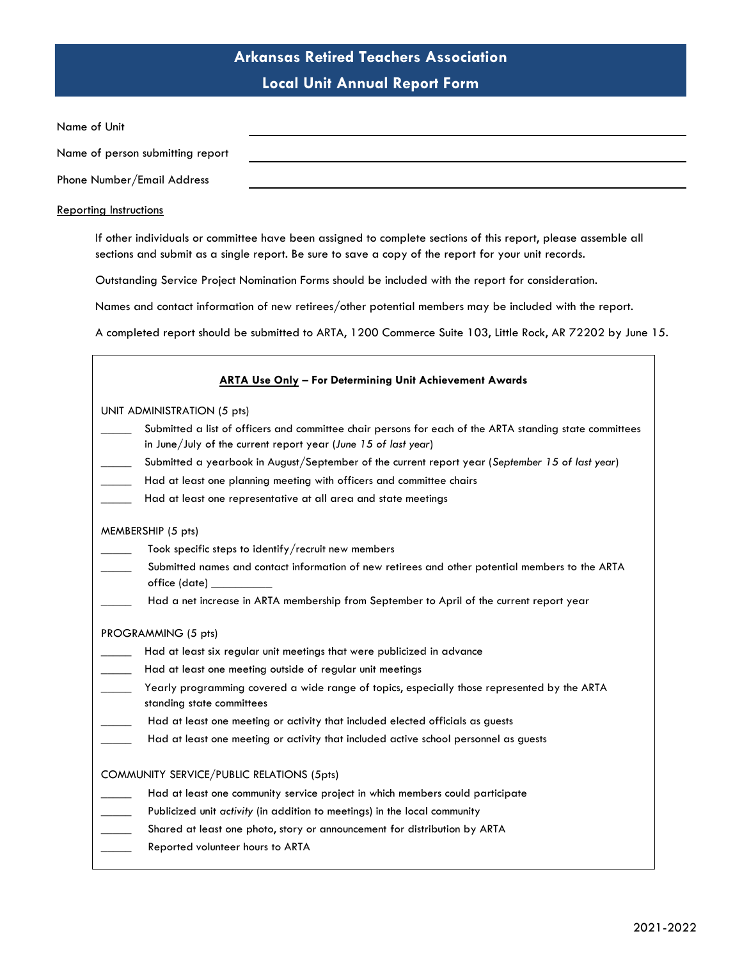| Name of Unit                     |  |
|----------------------------------|--|
| Name of person submitting report |  |
| Phone Number/Email Address       |  |

#### Reporting Instructions

If other individuals or committee have been assigned to complete sections of this report, please assemble all sections and submit as a single report. Be sure to save a copy of the report for your unit records.

Outstanding Service Project Nomination Forms should be included with the report for consideration.

Names and contact information of new retirees/other potential members may be included with the report.

A completed report should be submitted to ARTA, 1200 Commerce Suite 103, Little Rock, AR 72202 by June 15.

| <b>ARTA Use Only - For Determining Unit Achievement Awards</b>                                                               |
|------------------------------------------------------------------------------------------------------------------------------|
| UNIT ADMINISTRATION (5 pts)                                                                                                  |
| Submitted a list of officers and committee chair persons for each of the ARTA standing state committees                      |
| in June/July of the current report year (June 15 of last year)                                                               |
| Submitted a yearbook in August/September of the current report year (September 15 of last year)                              |
| Had at least one planning meeting with officers and committee chairs                                                         |
| Had at least one representative at all area and state meetings                                                               |
| MEMBERSHIP (5 pts)                                                                                                           |
| Took specific steps to identify/recruit new members                                                                          |
| Submitted names and contact information of new retirees and other potential members to the ARTA<br>office (date) ___________ |
| Had a net increase in ARTA membership from September to April of the current report year                                     |
| PROGRAMMING (5 pts)                                                                                                          |
| Had at least six regular unit meetings that were publicized in advance                                                       |
| Had at least one meeting outside of regular unit meetings                                                                    |
| Yearly programming covered a wide range of topics, especially those represented by the ARTA<br>standing state committees     |
| Had at least one meeting or activity that included elected officials as guests                                               |
| Had at least one meeting or activity that included active school personnel as guests                                         |
| COMMUNITY SERVICE/PUBLIC RELATIONS (5pts)                                                                                    |
| Had at least one community service project in which members could participate                                                |
| Publicized unit activity (in addition to meetings) in the local community                                                    |
| Shared at least one photo, story or announcement for distribution by ARTA                                                    |
| Reported volunteer hours to ARTA                                                                                             |
|                                                                                                                              |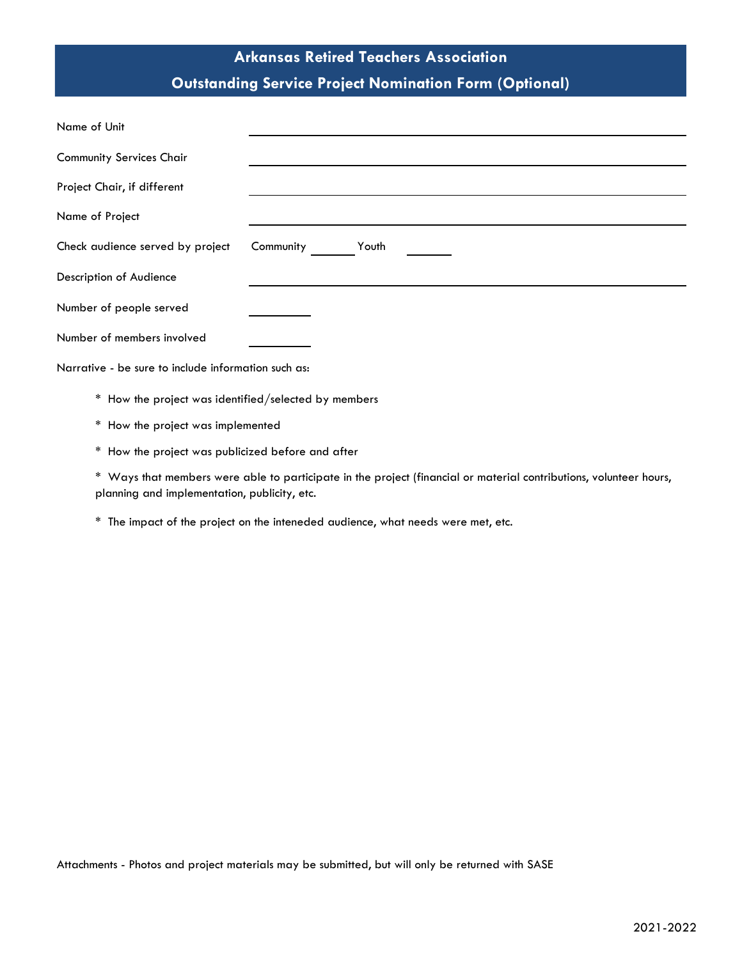# **Arkansas Retired Teachers Association Outstanding Service Project Nomination Form (Optional)**

| Name of Unit                                         |                    |
|------------------------------------------------------|--------------------|
| <b>Community Services Chair</b>                      |                    |
| Project Chair, if different                          |                    |
| Name of Project                                      |                    |
| Check audience served by project                     | Community<br>Youth |
| Description of Audience                              |                    |
| Number of people served                              |                    |
| Number of members involved                           |                    |
| Narrative - be sure to include information such as:  |                    |
| * How the project was identified/selected by members |                    |
| How the project was implemented<br>*                 |                    |

\* How the project was publicized before and after

\* Ways that members were able to participate in the project (financial or material contributions, volunteer hours, planning and implementation, publicity, etc.

\* The impact of the project on the inteneded audience, what needs were met, etc.

Attachments - Photos and project materials may be submitted, but will only be returned with SASE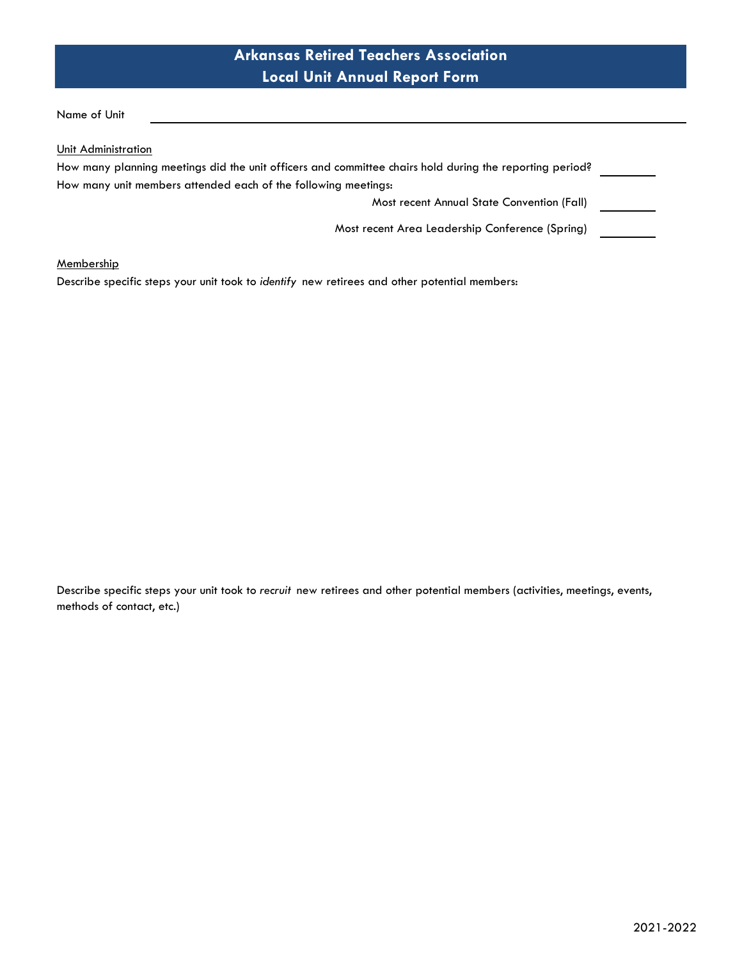Name of Unit

Unit Administration

| How many planning meetings did the unit officers and committee chairs hold during the reporting period? |  |
|---------------------------------------------------------------------------------------------------------|--|
| How many unit members attended each of the following meetings:                                          |  |
| Most recent Annual State Convention (Fall)                                                              |  |
| Most recent Area Leadership Conference (Spring)                                                         |  |

**Membership** 

Describe specific steps your unit took to *identify* new retirees and other potential members:

Describe specific steps your unit took to *recruit* new retirees and other potential members (activities, meetings, events, methods of contact, etc.)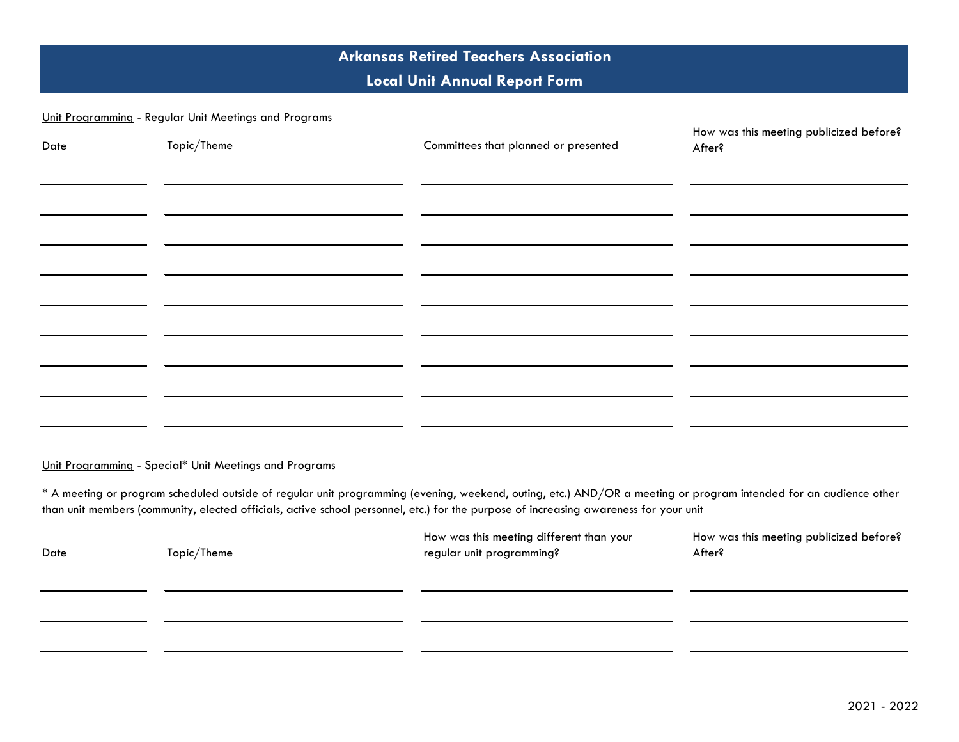#### Unit Programming - Regular Unit Meetings and Programs

| Date | Topic/Theme | Committees that planned or presented | How was this meeting publicized before?<br>After? |
|------|-------------|--------------------------------------|---------------------------------------------------|
|      |             |                                      |                                                   |
|      |             |                                      |                                                   |
|      |             |                                      |                                                   |
|      |             |                                      |                                                   |
|      |             |                                      |                                                   |
|      |             |                                      |                                                   |

Unit Programming - Special\* Unit Meetings and Programs

\* A meeting or program scheduled outside of regular unit programming (evening, weekend, outing, etc.) AND/OR a meeting or program intended for an audience other than unit members (community, elected officials, active school personnel, etc.) for the purpose of increasing awareness for your unit

| Date | Topic/Theme | How was this meeting different than your<br>regular unit programming? | How was this meeting publicized before?<br>After? |
|------|-------------|-----------------------------------------------------------------------|---------------------------------------------------|
|      |             |                                                                       |                                                   |
|      |             |                                                                       |                                                   |